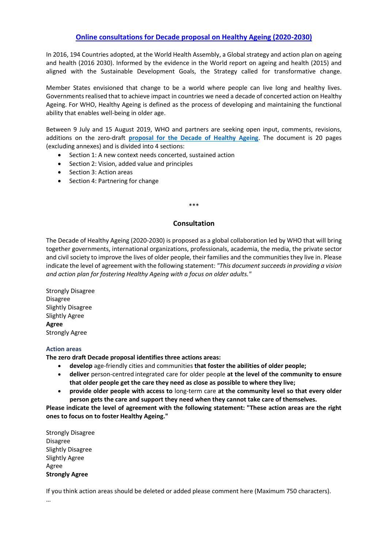# **[Online consultations for Decade proposal on Healthy Ageing \(2020-2030\)](https://webgate.ec.europa.eu/hpf/item/item/19138)**

In 2016, 194 Countries adopted, at the World Health Assembly, a Global strategy and action plan on ageing and health (2016 2030). Informed by the evidence in the World report on ageing and health (2015) and aligned with the Sustainable Development Goals, the Strategy called for transformative change.

Member States envisioned that change to be a world where people can live long and healthy lives. Governments realised that to achieve impact in countries we need a decade of concerted action on Healthy Ageing. For WHO, Healthy Ageing is defined as the process of developing and maintaining the functional ability that enables well-being in older age.

Between 9 July and 15 August 2019, WHO and partners are seeking open input, comments, revisions, additions on the zero-draft **[proposal for the Decade of Healthy Ageing](https://www.who.int/docs/default-source/documents/decade-of-health-ageing/decade-ageing-proposal-en.pdf?Status=Temp&sfvrsn=b0a7b5b1_12)**. The document is 20 pages (excluding annexes) and is divided into 4 sections:

- Section 1: A new context needs concerted, sustained action
- Section 2: Vision, added value and principles
- Section 3: Action areas
- Section 4: Partnering for change

#### \*\*\*

### **Consultation**

The Decade of Healthy Ageing (2020-2030) is proposed as a global collaboration led by WHO that will bring together governments, international organizations, professionals, academia, the media, the private sector and civil society to improve the lives of older people, their families and the communities they live in. Please indicate the level of agreement with the following statement: *"This document succeeds in providing a vision and action plan for fostering Healthy Ageing with a focus on older adults."*

Strongly Disagree Disagree Slightly Disagree Slightly Agree **Agree** Strongly Agree

### **Action areas**

**The zero draft Decade proposal identifies three actions areas:** 

- **develop** age-friendly cities and communities **that foster the abilities of older people;**
- **deliver** person-centred integrated care for older people **at the level of the community to ensure that older people get the care they need as close as possible to where they live;**
- **provide older people with access to** long-term care **at the community level so that every older person gets the care and support they need when they cannot take care of themselves.**

**Please indicate the level of agreement with the following statement: "These action areas are the right ones to focus on to foster Healthy Ageing."**

Strongly Disagree Disagree Slightly Disagree Slightly Agree Agree **Strongly Agree**

If you think action areas should be deleted or added please comment here (Maximum 750 characters). …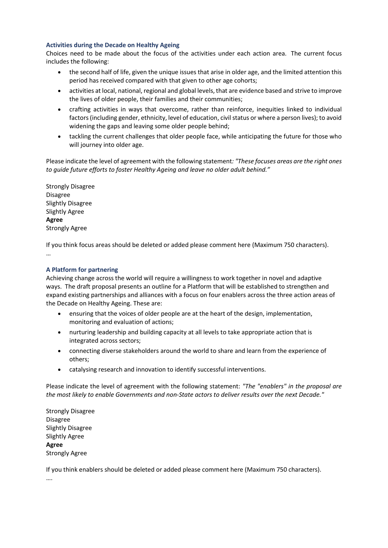## **Activities during the Decade on Healthy Ageing**

Choices need to be made about the focus of the activities under each action area. The current focus includes the following:

- the second half of life, given the unique issues that arise in older age, and the limited attention this period has received compared with that given to other age cohorts;
- activities at local, national, regional and global levels, that are evidence based and strive to improve the lives of older people, their families and their communities;
- crafting activities in ways that overcome, rather than reinforce, inequities linked to individual factors (including gender, ethnicity, level of education, civil status or where a person lives); to avoid widening the gaps and leaving some older people behind;
- tackling the current challenges that older people face, while anticipating the future for those who will journey into older age.

Please indicate the level of agreement with the following statement*: "These focuses areas are the right ones to guide future efforts to foster Healthy Ageing and leave no older adult behind."*

Strongly Disagree Disagree Slightly Disagree Slightly Agree **Agree** Strongly Agree

If you think focus areas should be deleted or added please comment here (Maximum 750 characters). …

# **A Platform for partnering**

Achieving change across the world will require a willingness to work together in novel and adaptive ways. The draft proposal presents an outline for a Platform that will be established to strengthen and expand existing partnerships and alliances with a focus on four enablers across the three action areas of the Decade on Healthy Ageing. These are:

- ensuring that the voices of older people are at the heart of the design, implementation, monitoring and evaluation of actions;
- nurturing leadership and building capacity at all levels to take appropriate action that is integrated across sectors;
- connecting diverse stakeholders around the world to share and learn from the experience of others;
- catalysing research and innovation to identify successful interventions.

Please indicate the level of agreement with the following statement: *"The "enablers" in the proposal are the most likely to enable Governments and non-State actors to deliver results over the next Decade."*

Strongly Disagree Disagree Slightly Disagree Slightly Agree **Agree** Strongly Agree

If you think enablers should be deleted or added please comment here (Maximum 750 characters).

….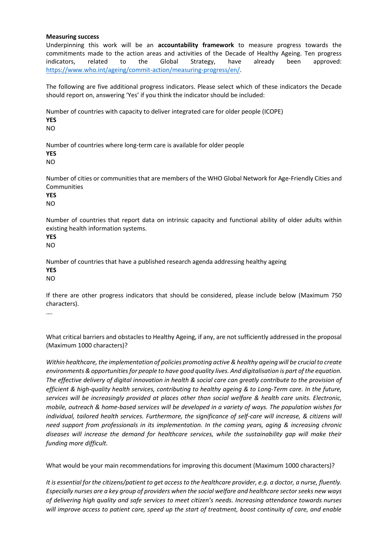### **Measuring success**

Underpinning this work will be an **accountability framework** to measure progress towards the commitments made to the action areas and activities of the Decade of Healthy Ageing. Ten progress indicators, related to the Global Strategy, have already been approved: [https://www.who.int/ageing/commit-action/measuring-progress/en/.](https://www.who.int/ageing/commit-action/measuring-progress/en/)

The following are five additional progress indicators. Please select which of these indicators the Decade should report on, answering 'Yes' if you think the indicator should be included:

Number of countries with capacity to deliver integrated care for older people (ICOPE) **YES** NO

Number of countries where long-term care is available for older people

**YES**

NO

Number of cities or communities that are members of the WHO Global Network for Age-Friendly Cities and Communities

**YES**

NO

Number of countries that report data on intrinsic capacity and functional ability of older adults within existing health information systems.

**YES** NO

Number of countries that have a published research agenda addressing healthy ageing **YES**

NO

If there are other progress indicators that should be considered, please include below (Maximum 750 characters).

….

What critical barriers and obstacles to Healthy Ageing, if any, are not sufficiently addressed in the proposal (Maximum 1000 characters)?

*Within healthcare, the implementation of policies promoting active & healthy ageing will be crucial to create environments &opportunities for people to have good quality lives. And digitalisation is part of the equation. The effective delivery of digital innovation in health & social care can greatly contribute to the provision of efficient & high-quality health services, contributing to healthy ageing & to Long-Term care. In the future, services will be increasingly provided at places other than social welfare & health care units. Electronic, mobile, outreach & home-based services will be developed in a variety of ways. The population wishes for individual, tailored health services. Furthermore, the significance of self-care will increase, & citizens will need support from professionals in its implementation. In the coming years, aging & increasing chronic diseases will increase the demand for healthcare services, while the sustainability gap will make their funding more difficult.* 

What would be your main recommendations for improving this document (Maximum 1000 characters)?

*It is essential for the citizens/patient to get access to the healthcare provider, e.g. a doctor, a nurse, fluently. Especially nurses are a key group of providers when the social welfare and healthcare sector seeks new ways of delivering high quality and safe services to meet citizen's needs. Increasing attendance towards nurses will improve access to patient care, speed up the start of treatment, boost continuity of care, and enable*